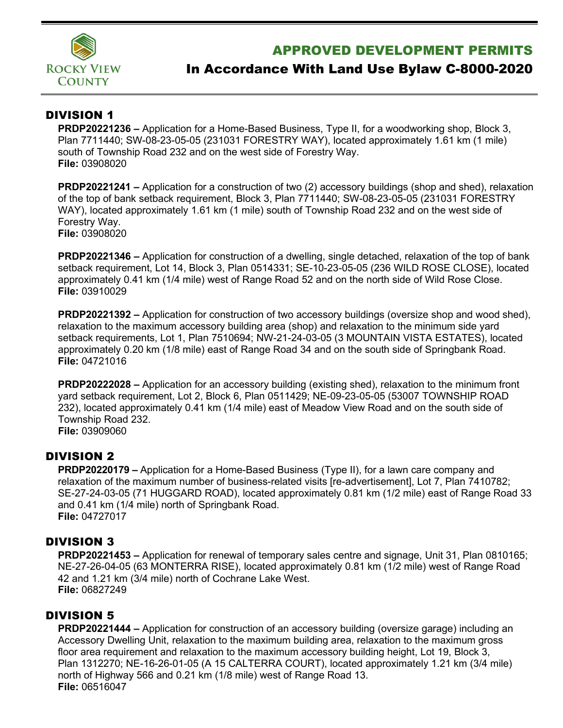

## APPROVED DEVELOPMENT PERMITS

# In Accordance With Land Use Bylaw C-8000-2020

## DIVISION 1

**PRDP20221236 –** Application for a Home-Based Business, Type II, for a woodworking shop, Block 3, Plan 7711440; SW-08-23-05-05 (231031 FORESTRY WAY), located approximately 1.61 km (1 mile) south of Township Road 232 and on the west side of Forestry Way. **File:** 03908020

**PRDP20221241 –** Application for a construction of two (2) accessory buildings (shop and shed), relaxation of the top of bank setback requirement, Block 3, Plan 7711440; SW-08-23-05-05 (231031 FORESTRY WAY), located approximately 1.61 km (1 mile) south of Township Road 232 and on the west side of Forestry Way. **File:** 03908020

**PRDP20221346 –** Application for construction of a dwelling, single detached, relaxation of the top of bank setback requirement, Lot 14, Block 3, Plan 0514331; SE-10-23-05-05 (236 WILD ROSE CLOSE), located approximately 0.41 km (1/4 mile) west of Range Road 52 and on the north side of Wild Rose Close. **File:** 03910029

**PRDP20221392 –** Application for construction of two accessory buildings (oversize shop and wood shed), relaxation to the maximum accessory building area (shop) and relaxation to the minimum side yard setback requirements, Lot 1, Plan 7510694; NW-21-24-03-05 (3 MOUNTAIN VISTA ESTATES), located approximately 0.20 km (1/8 mile) east of Range Road 34 and on the south side of Springbank Road. **File:** 04721016

**PRDP20222028 –** Application for an accessory building (existing shed), relaxation to the minimum front yard setback requirement, Lot 2, Block 6, Plan 0511429; NE-09-23-05-05 (53007 TOWNSHIP ROAD 232), located approximately 0.41 km (1/4 mile) east of Meadow View Road and on the south side of Township Road 232.

**File:** 03909060

## DIVISION 2

**PRDP20220179 –** Application for a Home-Based Business (Type II), for a lawn care company and relaxation of the maximum number of business-related visits [re-advertisement], Lot 7, Plan 7410782; SE-27-24-03-05 (71 HUGGARD ROAD), located approximately 0.81 km (1/2 mile) east of Range Road 33 and 0.41 km (1/4 mile) north of Springbank Road. **File:** 04727017

## DIVISION 3

**PRDP20221453 –** Application for renewal of temporary sales centre and signage, Unit 31, Plan 0810165; NE-27-26-04-05 (63 MONTERRA RISE), located approximately 0.81 km (1/2 mile) west of Range Road 42 and 1.21 km (3/4 mile) north of Cochrane Lake West. **File:** 06827249

## DIVISION 5

**PRDP20221444 –** Application for construction of an accessory building (oversize garage) including an Accessory Dwelling Unit, relaxation to the maximum building area, relaxation to the maximum gross floor area requirement and relaxation to the maximum accessory building height, Lot 19, Block 3, Plan 1312270; NE-16-26-01-05 (A 15 CALTERRA COURT), located approximately 1.21 km (3/4 mile) north of Highway 566 and 0.21 km (1/8 mile) west of Range Road 13. **File:** 06516047